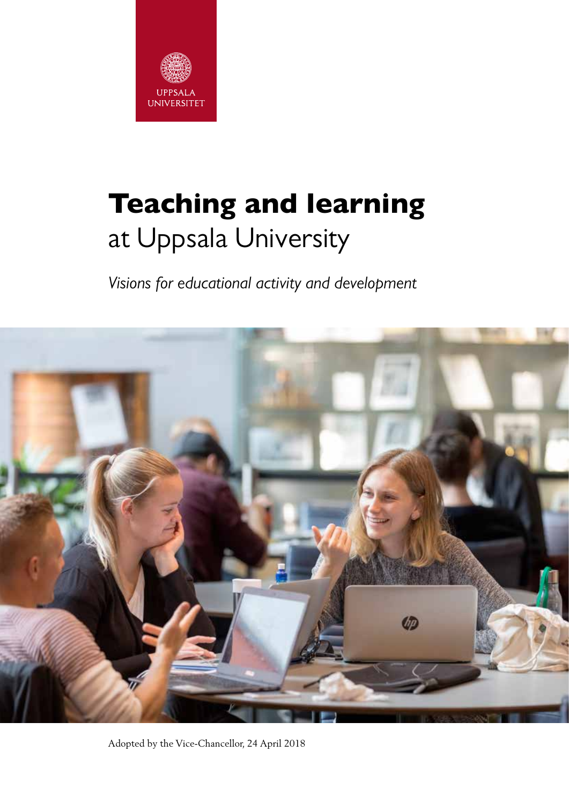

# Teaching and learning at Uppsala University

*Visions for educational activity and development*



Adopted by the Vice-Chancellor, 24 April 2018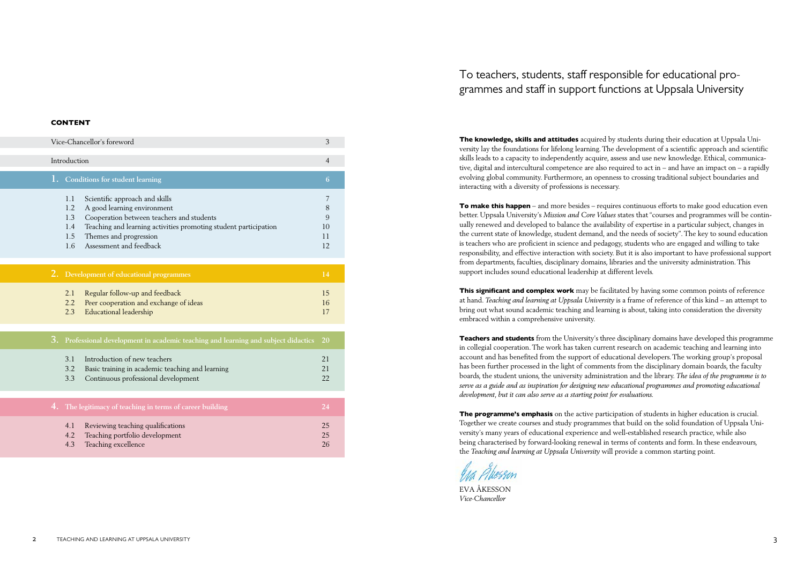The knowledge, skills and attitudes acquired by students during their education at Uppsala University lay the foundations for lifelong learning. The development of a scientific approach and scientific skills leads to a capacity to independently acquire, assess and use new knowledge. Ethical, communicative, digital and intercultural competence are also required to act in – and have an impact on – a rapidly evolving global community. Furthermore, an openness to crossing traditional subject boundaries and interacting with a diversity of professions is necessary.

To make this happen – and more besides – requires continuous efforts to make good education even better. Uppsala University's *Mission and Core Values* states that "courses and programmes will be continually renewed and developed to balance the availability of expertise in a particular subject, changes in the current state of knowledge, student demand, and the needs of society". The key to sound education is teachers who are proficient in science and pedagogy, students who are engaged and willing to take responsibility, and effective interaction with society. But it is also important to have professional support from departments, faculties, disciplinary domains, libraries and the university administration. This support includes sound educational leadership at different levels.

**This significant and complex work** may be facilitated by having some common points of reference at hand. *Teaching and learning at Uppsala University* is a frame of reference of this kind – an attempt to bring out what sound academic teaching and learning is about, taking into consideration the diversity embraced within a comprehensive university.

**Teachers and students** from the University's three disciplinary domains have developed this programme in collegial cooperation. The work has taken current research on academic teaching and learning into account and has benefited from the support of educational developers. The working group's proposal has been further processed in the light of comments from the disciplinary domain boards, the faculty boards, the student unions, the university administration and the library. *The idea of the programme is to serve as a guide and as inspiration for designing new educational programmes and promoting educational development, but it can also serve as a starting point for evaluations.* 

The programme's emphasis on the active participation of students in higher education is crucial. Together we create courses and study programmes that build on the solid foundation of Uppsala University's many years of educational experience and well-established research practice, while also being characterised by forward-looking renewal in terms of contents and form. In these endeavours, the *Teaching and learning at Uppsala University* will provide a common starting point.

EVA ÅKESSON *Vice-Chancellor*

## To teachers, students, staff responsible for educational programmes and staff in support functions at Uppsala University

#### CONTENT

| Vice-Chancellor's foreword                                                                                                                                                                                                                                                    | 3                             |
|-------------------------------------------------------------------------------------------------------------------------------------------------------------------------------------------------------------------------------------------------------------------------------|-------------------------------|
| Introduction                                                                                                                                                                                                                                                                  | 4                             |
| 1. Conditions for student learning                                                                                                                                                                                                                                            | 6                             |
| Scientific approach and skills<br>1.1<br>A good learning environment<br>1.2<br>Cooperation between teachers and students<br>1.3<br>1.4<br>Teaching and learning activities promoting student participation<br>Themes and progression<br>1.5<br>Assessment and feedback<br>1.6 | 7<br>8<br>9<br>10<br>11<br>12 |
| 2. Development of educational programmes                                                                                                                                                                                                                                      | 14                            |
| Regular follow-up and feedback<br>2.1<br>Peer cooperation and exchange of ideas<br>2.2<br>Educational leadership<br>2.3                                                                                                                                                       | 15<br>16<br>17                |
| Professional development in academic teaching and learning and subject didactics                                                                                                                                                                                              | <b>20</b>                     |

| 3.1 Introduction of new teachers                     |  |
|------------------------------------------------------|--|
| 3.2 Basic training in academic teaching and learning |  |
| 3.3 Continuous professional development              |  |
|                                                      |  |

|            | 4. The legitimacy of teaching in terms of career building                                      | V24 |
|------------|------------------------------------------------------------------------------------------------|-----|
| 4.1<br>4.2 | Reviewing teaching qualifications<br>Teaching portfolio development<br>4.3 Teaching excellence |     |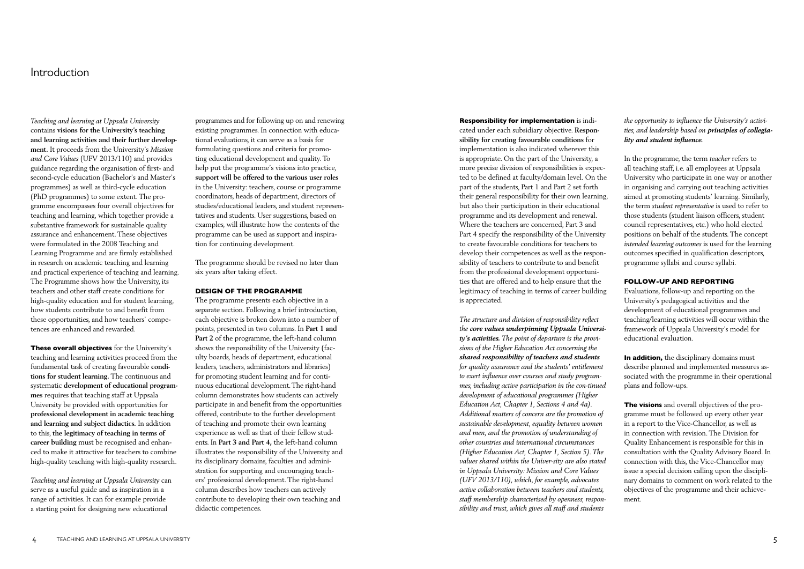*Teaching and learning at Uppsala University*  contains **visions for the University's teaching and learning activities and their further development.** It proceeds from the University's *Mission and Core Values* (UFV 2013/110) and provides guidance regarding the organisation of first- and second-cycle education (Bachelor's and Master's programmes) as well as third-cycle education (PhD programmes) to some extent. The programme encompasses four overall objectives for teaching and learning, which together provide a substantive framework for sustainable quality assurance and enhancement. These objectives were formulated in the 2008 Teaching and Learning Programme and are firmly established in research on academic teaching and learning and practical experience of teaching and learning. The Programme shows how the University, its teachers and other staff create conditions for high-quality education and for student learning, how students contribute to and benefit from these opportunities, and how teachers' competences are enhanced and rewarded.

These overall objectives for the University's teaching and learning activities proceed from the fundamental task of creating favourable **conditions for student learning.** The continuous and systematic **development of educational programmes** requires that teaching staff at Uppsala University be provided with opportunities for **professional development in academic teaching and learning and subject didactics.** In addition to this, **the legitimacy of teaching in terms of career building** must be recognised and enhanced to make it attractive for teachers to combine high-quality teaching with high-quality research.

*Teaching and learning at Uppsala University* can serve as a useful guide and as inspiration in a range of activities. It can for example provide a starting point for designing new educational

## Introduction

programmes and for following up on and renewing existing programmes. In connection with educational evaluations, it can serve as a basis for formulating questions and criteria for promoting educational development and quality. To help put the programme's visions into practice, **support will be offered to the various user roles** in the University: teachers, course or programme coordinators, heads of department, directors of studies/educational leaders, and student representatives and students. User suggestions, based on examples, will illustrate how the contents of the programme can be used as support and inspiration for continuing development.

The programme should be revised no later than six years after taking effect.

#### DESIGN OF THE PROGRAMME

The programme presents each objective in a separate section. Following a brief introduction, each objective is broken down into a number of points, presented in two columns. In **Part 1 and Part 2** of the programme, the left-hand column shows the responsibility of the University (faculty boards, heads of department, educational leaders, teachers, administrators and libraries) for promoting student learning and for continuous educational development. The right-hand column demonstrates how students can actively participate in and benefit from the opportunities offered, contribute to the further development of teaching and promote their own learning experience as well as that of their fellow students. In **Part 3 and Part 4,** the left-hand column illustrates the responsibility of the University and its disciplinary domains, faculties and administration for supporting and encouraging teachers' professional development. The right-hand column describes how teachers can actively contribute to developing their own teaching and didactic competences.

In addition, the disciplinary domains must describe planned and implemented measures associated with the programme in their operational plans and follow-ups.

The visions and overall objectives of the programme must be followed up every other year in a report to the Vice-Chancellor, as well as in connection with revision. The Division for Quality Enhancement is responsible for this in consultation with the Quality Advisory Board. In connection with this, the Vice-Chancellor may issue a special decision calling upon the disciplinary domains to comment on work related to the objectives of the programme and their achievement.

Responsibility for implementation is indicated under each subsidiary objective. **Responsibility for creating favourable conditions** for implementation is also indicated wherever this is appropriate. On the part of the University, a more precise division of responsibilities is expected to be defined at faculty/domain level. On the part of the students, Part 1 and Part 2 set forth their general responsibility for their own learning, but also their participation in their educational programme and its development and renewal. Where the teachers are concerned, Part 3 and Part 4 specify the responsibility of the University to create favourable conditions for teachers to develop their competences as well as the responsibility of teachers to contribute to and benefit from the professional development opportunities that are offered and to help ensure that the legitimacy of teaching in terms of career building is appreciated.

*The structure and division of responsibility reflect the core values underpinning Uppsala University's activities. The point of departure is the provisions of the Higher Education Act concerning the shared responsibility of teachers and students for quality assurance and the students' entitlement to exert influence over courses and study programmes, including active participation in the con-tinued development of educational programmes (Higher Education Act, Chapter 1, Sections 4 and 4a). Additional matters of concern are the promotion of sustainable development, equality between women and men, and the promotion of understanding of other countries and international circumstances (Higher Education Act, Chapter 1, Section 5). The values shared within the Univer-sity are also stated in Uppsala University: Mission and Core Values (UFV 2013/110), which, for example, advocates active collaboration between teachers and students, staff membership characterised by openness, responsibility and trust, which gives all staff and students* 

#### *the opportunity to influence the University's activities, and leadership based on principles of collegiality and student influence.*

In the programme, the term *teacher* refers to all teaching staff, i.e. all employees at Uppsala University who participate in one way or another in organising and carrying out teaching activities aimed at promoting students' learning. Similarly, the term *student representative* is used to refer to those students (student liaison officers, student council representatives, etc.) who hold elected positions on behalf of the students. The concept *intended learning outcomes* is used for the learning outcomes specified in qualification descriptors, programme syllabi and course syllabi.

#### FOLLOW-UP AND REPORTING

Evaluations, follow-up and reporting on the University's pedagogical activities and the development of educational programmes and teaching/learning activities will occur within the framework of Uppsala University's model for educational evaluation.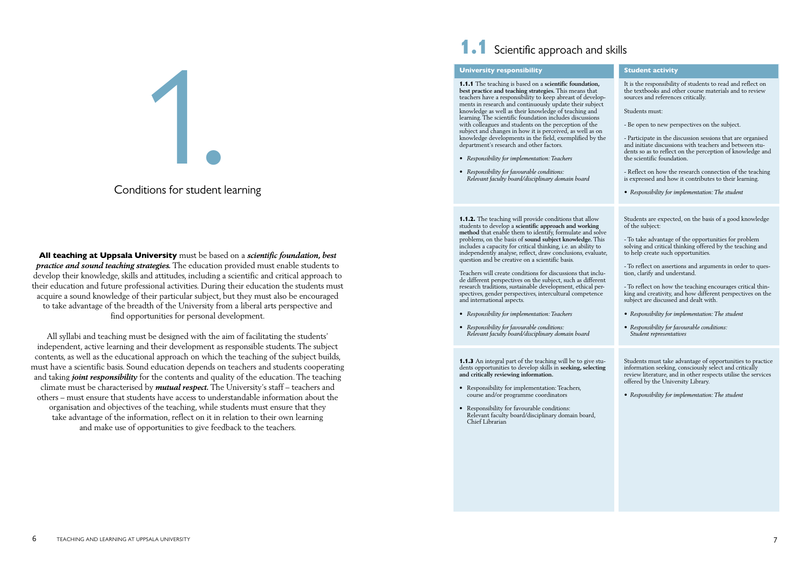All teaching at Uppsala University must be based on a *scientific foundation, best practice and sound teaching strategies.* The education provided must enable students to develop their knowledge, skills and attitudes, including a scientific and critical approach to their education and future professional activities. During their education the students must acquire a sound knowledge of their particular subject, but they must also be encouraged to take advantage of the breadth of the University from a liberal arts perspective and find opportunities for personal development.

All syllabi and teaching must be designed with the aim of facilitating the students' independent, active learning and their development as responsible students. The subject contents, as well as the educational approach on which the teaching of the subject builds, must have a scientific basis. Sound education depends on teachers and students cooperating and taking *joint responsibility* for the contents and quality of the education. The teaching climate must be characterised by *mutual respect.* The University's staff – teachers and others – must ensure that students have access to understandable information about the organisation and objectives of the teaching, while students must ensure that they take advantage of the information, reflect on it in relation to their own learning and make use of opportunities to give feedback to the teachers.

# **1.1** Scientific approach and skills

**1.1.2.** The teaching will provide conditions that allow students to develop a **scientific approach and working method** that enable them to identify, formulate and solve problems, on the basis of **sound subject knowledge.** This includes a capacity for critical thinking, i.e. an ability to independently analyse, reflect, draw conclusions, evaluate, question and be creative on a scientific basis.

Teachers will create conditions for discussions that include different perspectives on the subject, such as different research traditions, sustainable development, ethical perspectives, gender perspectives, intercultural competence and international aspects.



## Conditions for student learning

#### University responsibility

1.1.1 The teaching is based on a **scientific foundation, best practice and teaching strategies.** This means that teachers have a responsibility to keep abreast of developments in research and continuously update their subject knowledge as well as their knowledge of teaching and learning. The scientific foundation includes discussions with colleagues and students on the perception of the subject and changes in how it is perceived, as well as on knowledge developments in the field, exemplified by the department's research and other factors.

- *• Responsibility for implementation: Teachers*
- *• Responsibility for favourable conditions: Relevant faculty board/disciplinary domain board*

- *• Responsibility for implementation: Teachers*
- *• Responsibility for favourable conditions: Relevant faculty board/disciplinary domain board*

1.1.3 An integral part of the teaching will be to give students opportunities to develop skills in **seeking, selecting and critically reviewing information.**

- Responsibility for implementation: Teachers, course and/or programme coordinators
- Responsibility for favourable conditions: Relevant faculty board/disciplinary domain board, Chief Librarian

#### Student activity

It is the responsibility of students to read and reflect on the textbooks and other course materials and to review sources and references critically.

Students must:

- Be open to new perspectives on the subject.

- Participate in the discussion sessions that are organised and initiate discussions with teachers and between students so as to reflect on the perception of knowledge and the scientific foundation.

- Reflect on how the research connection of the teaching is expressed and how it contributes to their learning.

*• Responsibility for implementation: The student*

Students are expected, on the basis of a good knowledge of the subject:

- To take advantage of the opportunities for problem solving and critical thinking offered by the teaching and to help create such opportunities.

- To reflect on assertions and arguments in order to question, clarify and understand.

- To reflect on how the teaching encourages critical thinking and creativity, and how different perspectives on the subject are discussed and dealt with.

- *• Responsibility for implementation: The student*
- *• Responsibility for favourable conditions: Student representatives*

Students must take advantage of opportunities to practice information seeking, consciously select and critically review literature, and in other respects utilise the services offered by the University Library.

*• Responsibility for implementation: The student*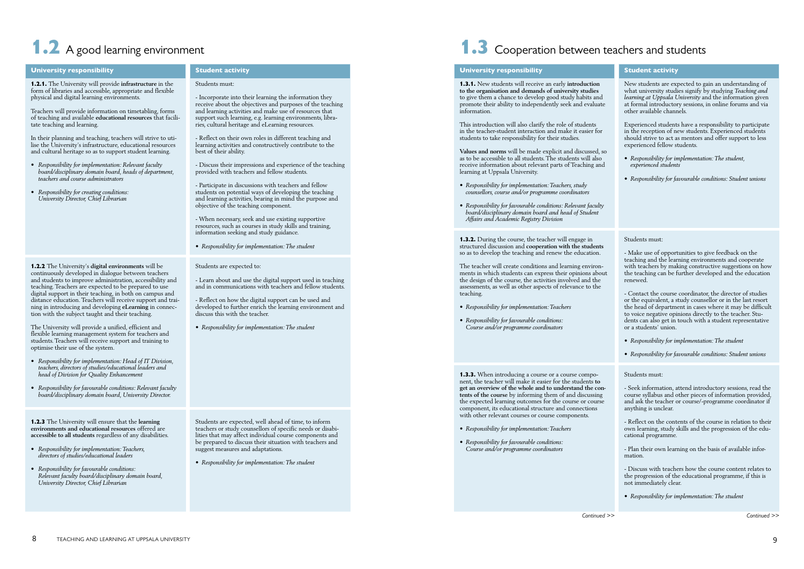Student activity

#### Students must:

- Incorporate into their learning the information they receive about the objectives and purposes of the teaching and learning activities and make use of resources that support such learning, e.g. learning environments, libraries, cultural heritage and eLearning resources.

- Reflect on their own roles in different teaching and learning activities and constructively contribute to the best of their ability.

- Discuss their impressions and experience of the teaching provided with teachers and fellow students.

- Participate in discussions with teachers and fellow students on potential ways of developing the teaching and learning activities, bearing in mind the purpose and objective of the teaching component.

- When necessary, seek and use existing supportive resources, such as courses in study skills and training, information seeking and study guidance.

*• Responsibility for implementation: The student*

Students are expected to:

- Learn about and use the digital support used in teaching and in communications with teachers and fellow students.

- Reflect on how the digital support can be used and developed to further enrich the learning environment and discuss this with the teacher.

*• Responsibility for implementation: The student*

Students are expected, well ahead of time, to inform teachers or study counsellors of specific needs or disabilities that may affect individual course components and be prepared to discuss their situation with teachers and suggest measures and adaptations.

*• Responsibility for implementation: The student*

# 1.2 A good learning environment and students and students and students

#### University responsibility

1.2.1. The University will provide **infrastructure** in the form of libraries and accessible, appropriate and flexible physical and digital learning environments.

Teachers will provide information on timetabling, forms of teaching and available **educational resources** that facilitate teaching and learning.

In their planning and teaching, teachers will strive to utilise the University's infrastructure, educational resources and cultural heritage so as to support student learning.

- *• Responsibility for implementation: Relevant faculty board/disciplinary domain board, heads of department, teachers and course administrators*
- *• Responsibility for creating conditions: University Director, Chief Librarian*

1.2.2 The University's **digital environments** will be continuously developed in dialogue between teachers and students to improve administration, accessibility and teaching. Teachers are expected to be prepared to use digital support in their teaching, in both on campus and distance education. Teachers will receive support and training in introducing and developing **eLearning** in connection with the subject taught and their teaching.

The University will provide a unified, efficient and flexible learning management system for teachers and students. Teachers will receive support and training to optimise their use of the system.

- *• Responsibility for implementation: Head of IT Division, teachers, directors of studies/educational leaders and head of Division for Quality Enhancement*
- *• Responsibility for favourable conditions: Relevant faculty board/disciplinary domain board, University Director.*

1.2.3 The University will ensure that the **learning environments and educational resources** offered are **accessible to all students** regardless of any disabilities.

- *• Responsibility for implementation: Teachers, directors of studies/educational leaders*
- *• Responsibility for favourable conditions: Relevant faculty board/disciplinary domain board, University Director, Chief Librarian*

**1.3.3.** When introducing a course or a course component, the teacher will make it easier for the students **to get an overview of the whole and to understand the contents of the course** by informing them of and discussing the expected learning outcomes for the course or course component, its educational structure and connections with other relevant courses or course components.

#### Student activity

New students are expected to gain an understanding of what university studies signify by studying *Teaching and learning at Uppsala University* and the information given at formal introductory sessions, in online forums and via other available channels.

Experienced students have a responsibility to participate in the reception of new students. Experienced students should strive to act as mentors and offer support to less experienced fellow students.

- *• Responsibility for implementation: The student, experienced students*
- *• Responsibility for favourable conditions: Student unions*

#### Students must:

- Make use of opportunities to give feedback on the teaching and the learning environments and cooperate with teachers by making constructive suggestions on how the teaching can be further developed and the education renewed.

- Contact the course coordinator, the director of studies or the equivalent, a study counsellor or in the last resort the head of department in cases where it may be difficult to voice negative opinions directly to the teacher. Students can also get in touch with a student representative or a students' union.

- *• Responsibility for implementation: The student*
- *• Responsibility for favourable conditions: Student unions*

#### Students must:

- Seek information, attend introductory sessions, read the course syllabus and other pieces of information provided, and ask the teacher or course/-programme coordinator if anything is unclear.

- Reflect on the contents of the course in relation to their own learning, study skills and the progression of the educational programme.

- Plan their own learning on the basis of available information.

- Discuss with teachers how the course content relates to the progression of the educational programme, if this is not immediately clear.

*• Responsibility for implementation: The student*

#### University responsibility

1.3.1. New students will receive an early **introduction to the organisation and demands of university studies** to give them a chance to develop good study habits and promote their ability to independently seek and evaluate information.

This introduction will also clarify the role of students in the teacher-student interaction and make it easier for students to take responsibility for their studies.

**Values and norms** will be made explicit and discussed, so as to be accessible to all students. The students will also receive information about relevant parts of Teaching and learning at Uppsala University.

- *• Responsibility for implementation: Teachers, study counsellors, course and/or programme coordinators*
- *• Responsibility for favourable conditions: Relevant faculty board/disciplinary domain board and head of Student Affairs and Academic Registry Division*

1.3.2. During the course, the teacher will engage in structured discussion and **cooperation with the students** so as to develop the teaching and renew the education.

The teacher will create conditions and learning environments in which students can express their opinions about the design of the course, the activities involved and the assessments, as well as other aspects of relevance to the teaching.

- *• Responsibility for implementation: Teachers*
- *• Responsibility for favourable conditions: Course and/or programme coordinators*

- *• Responsibility for implementation: Teachers*
- *• Responsibility for favourable conditions: Course and/or programme coordinators*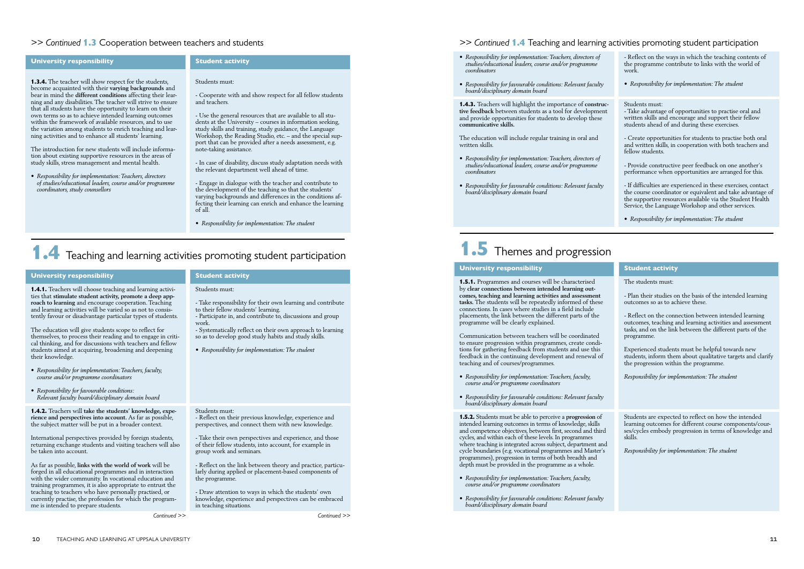## Student activity

#### Students must:

- Cooperate with and show respect for all fellow students and teachers.

- Use the general resources that are available to all students at the University – courses in information seeking, study skills and training, study guidance, the Language Workshop, the Reading Studio, etc. – and the special support that can be provided after a needs assessment, e.g. note-taking assistance.

- In case of disability, discuss study adaptation needs with the relevant department well ahead of time.

- Engage in dialogue with the teacher and contribute to the development of the teaching so that the students' varying backgrounds and differences in the conditions affecting their learning can enrich and enhance the learning of all.

*• Responsibility for implementation: The student*

## 1.4 Teaching and learning activities promoting student participation

#### *>> Continued* 1.3 Cooperation between teachers and students

#### University responsibility

1.3.4. The teacher will show respect for the students, become acquainted with their **varying backgrounds** and bear in mind the **different conditions** affecting their learning and any disabilities. The teacher will strive to ensure that all students have the opportunity to learn on their own terms so as to achieve intended learning outcomes within the framework of available resources, and to use the variation among students to enrich teaching and learning activities and to enhance all students' learning.

The introduction for new students will include information about existing supportive resources in the areas of study skills, stress management and mental health.

*• Responsibility for implementation: Teachers, directors of studies/educational leaders, course and/or programme coordinators, study counsellors*

Student activity

#### Students must:

- Take responsibility for their own learning and contribute to their fellow students' learning.

As far as possible, **links with the world of work** will be forged in all educational programmes and in interaction with the wider community. In vocational education and training programmes, it is also appropriate to entrust the teaching to teachers who have personally practised, or currently practise, the profession for which the programme is intended to prepare students.

- Participate in, and contribute to, discussions and group work.

- Systematically reflect on their own approach to learning so as to develop good study habits and study skills.

*• Responsibility for implementation: The student*

#### Students must:

- Reflect on their previous knowledge, experience and perspectives, and connect them with new knowledge.

- Take their own perspectives and experience, and those of their fellow students, into account, for example in group work and seminars.

- Reflect on the link between theory and practice, particularly during applied or placement-based components of the programme.

- Draw attention to ways in which the students' own knowledge, experience and perspectives can be embraced in teaching situations.

#### University responsibility

1.4.1. Teachers will choose teaching and learning activities that **stimulate student activity, promote a deep approach to learning** and encourage cooperation. Teaching and learning activities will be varied so as not to consistently favour or disadvantage particular types of students.

The education will give students scope to reflect for themselves, to process their reading and to engage in critical thinking, and for discussions with teachers and fellow students aimed at acquiring, broadening and deepening their knowledge.

- *• Responsibility for implementation: Teachers, faculty, course and/or programme coordinators*
- *• Responsibility for favourable conditions: Relevant faculty board/disciplinary domain board*

1.4.2. Teachers will **take the students' knowledge, experience and perspectives into account.** As far as possible, the subject matter will be put in a broader context.

International perspectives provided by foreign students, returning exchange students and visiting teachers will also be taken into account.

- *• Responsibility for implementation: Teachers, directors of studies/educational leaders, course and/or programme coordinators*
- *• Responsibility for favourable conditions: Relevant faculty board/disciplinary domain board*

1.4.3. Teachers will highlight the importance of **constructive feedback** between students as a tool for development and provide opportunities for students to develop these **communicative skills.**

The education will include regular training in oral and written skills.

- *• Responsibility for implementation: Teachers, directors of studies/educational leaders, course and/or programme coordinators*
- *• Responsibility for favourable conditions: Relevant faculty board/disciplinary domain board*

# **1.5** Themes and progression

## *>> Continued* 1.4 Teaching and learning activities promoting student participation

- Reflect on the ways in which the teaching contents of the programme contribute to links with the world of work.

*• Responsibility for implementation: The student*

#### Students must:

- Take advantage of opportunities to practise oral and written skills and encourage and support their fellow students ahead of and during these exercises.

- Create opportunities for students to practise both oral and written skills, in cooperation with both teachers and fellow students.

- Provide constructive peer feedback on one another's performance when opportunities are arranged for this.

- If difficulties are experienced in these exercises, contact the course coordinator or equivalent and take advantage of the supportive resources available via the Student Health Service, the Language Workshop and other services.

*• Responsibility for implementation: The student*

*Continued >> Continued >>*

#### Student activity

The students must:

- Plan their studies on the basis of the intended learning outcomes so as to achieve these.

- Reflect on the connection between intended learning outcomes, teaching and learning activities and assessment tasks, and on the link between the different parts of the programme.

Experienced students must be helpful towards new students, inform them about qualitative targets and clarify the progression within the programme.

*Responsibility for implementation: The student*

Students are expected to reflect on how the intended learning outcomes for different course components/courses/cycles embody progression in terms of knowledge and skills.

*Responsibility for implementation: The student*

#### University responsibility

1.5.1. Programmes and courses will be characterised by **clear connections between intended learning outcomes, teaching and learning activities and assessment tasks.** The students will be repeatedly informed of these connections. In cases where studies in a field include placements, the link between the different parts of the programme will be clearly explained.

Communication between teachers will be coordinated to ensure progression within programmes, create conditions for gathering feedback from students and use this feedback in the continuing development and renewal of teaching and of courses/programmes.

- *• Responsibility for implementation: Teachers, faculty, course and/or programme coordinators*
- *• Responsibility for favourable conditions: Relevant faculty board/disciplinary domain board*

1.5.2. Students must be able to perceive a **progression** of intended learning outcomes in terms of knowledge, skills and competence objectives, between first, second and third cycles, and within each of these levels. In programmes where teaching is integrated across subject, department and cycle boundaries (e.g. vocational programmes and Master's programmes), progression in terms of both breadth and depth must be provided in the programme as a whole.

- *• Responsibility for implementation: Teachers, faculty, course and/or programme coordinators*
- *• Responsibility for favourable conditions: Relevant faculty board/disciplinary domain board*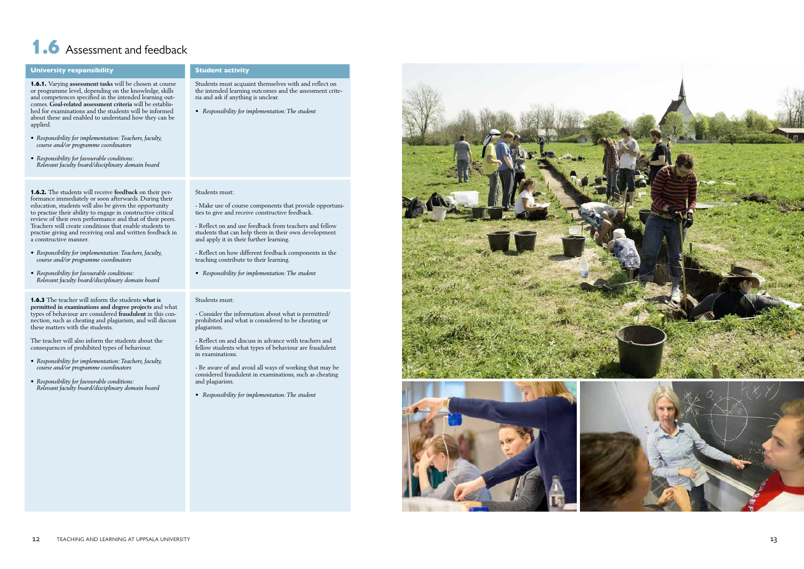#### Student activity

Students must acquaint themselves with and reflect on the intended learning outcomes and the assessment crite ria and ask if anything is unclear.

*• Responsibility for implementation: The student*

#### Students must:

- Make use of course components that provide opportuni ties to give and receive constructive feedback.

- Reflect on and use feedback from teachers and fellow students that can help them in their own development and apply it in their further learning.

- Reflect on how different feedback components in the teaching contribute to their learning.

*• Responsibility for implementation: The student*

#### Students must:

- Consider the information about what is permitted/ prohibited and what is considered to be cheating or plagiarism.

- Reflect on and discuss in advance with teachers and fellow students what types of behaviour are fraudulent in examinations.

- Be aware of and avoid all ways of working that may be considered fraudulent in examinations, such as cheating and plagiarism.

*• Responsibility for implementation: The student*



# 1.6 Assessment and feedback

#### University responsibility

1.6.1. Varying **assessment tasks** will be chosen at course or programme level, depending on the knowledge, skills and competences specified in the intended learning out comes. **Goal -related assessment criteria** will be establis hed for examinations and the students will be informed about these and enabled to understand how they can be applied.

- *• Responsibility for implementation: Teachers, faculty, course and/or programme coordinators*
- *• Responsibility for favourable conditions: Relevant faculty board/disciplinary domain board*

1.6.2. The students will receive **feedback** on their performance immediately or soon afterwards. During their education, students will also be given the opportunity to practise their ability to engage in constructive critical review of their own performance and that of their peers. Teachers will create conditions that enable students to practise giving and receiving oral and written feedback in a constructive manner.

- *• Responsibility for implementation: Teachers, faculty, course and/or programme coordinators*
- *• Responsibility for favourable conditions: Relevant faculty board/disciplinary domain board*

1.6.3 The teacher will inform the students **what is permitted in examinations and degree projects** and what types of behaviour are considered **fraudulent** in this con nection, such as cheating and plagiarism, and will discuss these matters with the students.

The teacher will also inform the students about the consequences of prohibited types of behaviour.

- *• Responsibility for implementation: Teachers, faculty, course and/or programme coordinators*
- *• Responsibility for favourable conditions: Relevant faculty board/disciplinary domain board*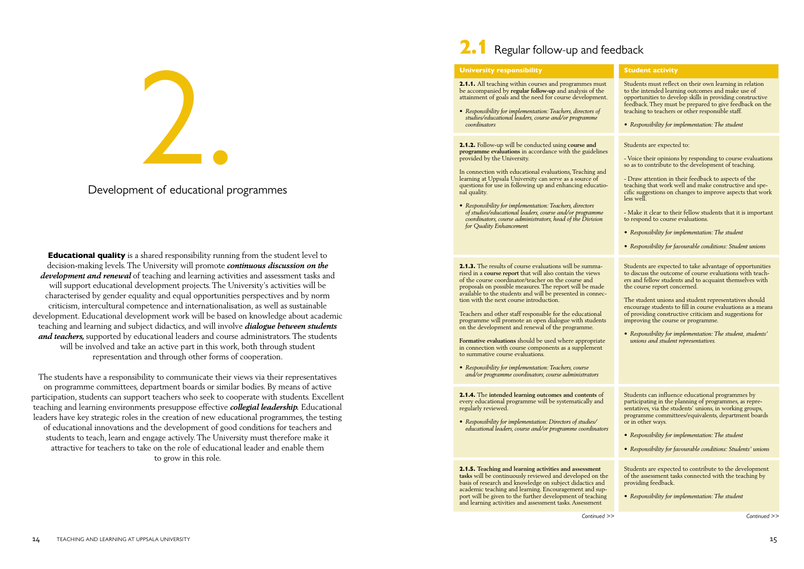**Educational quality** is a shared responsibility running from the student level to decision-making levels. The University will promote *continuous discussion on the development and renewal* of teaching and learning activities and assessment tasks and will support educational development projects. The University's activities will be characterised by gender equality and equal opportunities perspectives and by norm criticism, intercultural competence and internationalisation, as well as sustainable development. Educational development work will be based on knowledge about academic teaching and learning and subject didactics, and will involve *dialogue between students and teachers,* supported by educational leaders and course administrators. The students will be involved and take an active part in this work, both through student representation and through other forms of cooperation.

The students have a responsibility to communicate their views via their representatives on programme committees, department boards or similar bodies. By means of active participation, students can support teachers who seek to cooperate with students. Excellent teaching and learning environments presuppose effective *collegial leadership.* Educational leaders have key strategic roles in the creation of new educational programmes, the testing of educational innovations and the development of good conditions for teachers and students to teach, learn and engage actively. The University must therefore make it attractive for teachers to take on the role of educational leader and enable them to grow in this role.



## Development of educational programmes



*Continued >> Continued >>*

#### Student activity

Students must reflect on their own learning in relation to the intended learning outcomes and make use of opportunities to develop skills in providing constructive feedback. They must be prepared to give feedback on the teaching to teachers or other responsible staff.

2.1.1. All teaching within courses and programmes must be accompanied by **regular follow-up** and analysis of the attainment of goals and the need for course development.

*• Responsibility for implementation: The student* 

Students are expected to:

- Voice their opinions by responding to course evaluations so as to contribute to the development of teaching.

- Draw attention in their feedback to aspects of the teaching that work well and make constructive and specific suggestions on changes to improve aspects that work less well.

2.1.3. The results of course evaluations will be summarised in a **course report** that will also contain the views of the course coordinator/teacher on the course and proposals on possible measures. The report will be made available to the students and will be presented in connection with the next course introduction.

- Make it clear to their fellow students that it is important to respond to course evaluations.

- *• Responsibility for implementation: The student*
- *• Responsibility for favourable conditions: Student union*s

Students are expected to take advantage of opportunities to discuss the outcome of course evaluations with teachers and fellow students and to acquaint themselves with the course report concerned.

The student unions and student representatives should encourage students to fill in course evaluations as a means of providing constructive criticism and suggestions for improving the course or programme.

*• Responsibility for implementation: The student, students' unions and student representatives.*

Students can influence educational programmes by participating in the planning of programmes, as representatives, via the students' unions, in working groups, programme committees/equivalents, department boards or in other ways.

- *• Responsibility for implementation: The student*
- *• Responsibility for favourable conditions: Students' union*s

Students are expected to contribute to the development of the assessment tasks connected with the teaching by providing feedback.

*• Responsibility for implementation: The student*

#### University responsibility

*• Responsibility for implementation: Teachers, directors of studies/educational leaders, course and/or programme coordinators*

2.1.2. Follow-up will be conducted using **course and programme evaluations** in accordance with the guidelines provided by the University.

In connection with educational evaluations, Teaching and learning at Uppsala University can serve as a source of questions for use in following up and enhancing educational quality.

*• Responsibility for implementation: Teachers, directors of studies/educational leaders, course and/or programme coordinators, course administrators, head of the Division for Quality Enhancemen*t

Teachers and other staff responsible for the educational programme will promote an open dialogue with students on the development and renewal of the programme.

**Formative evaluations** should be used where appropriate in connection with course components as a supplement to summative course evaluations.

*• Responsibility for implementation: Teachers, course and/or programme coordinators, course administrators*

2.1.4. The **intended learning outcomes and contents** of every educational programme will be systematically and regularly reviewed.

*• Responsibility for implementation: Directors of studies/ educational leaders, course and/or programme coordinators*

2.1.5. **Teaching and learning activities and assessment tasks** will be continuously reviewed and developed on the basis of research and knowledge on subject didactics and academic teaching and learning. Encouragement and support will be given to the further development of teaching and learning activities and assessment tasks. Assessment

**14** TEACHING AND LEARNING AT UPPSALA UNIVERSITY 15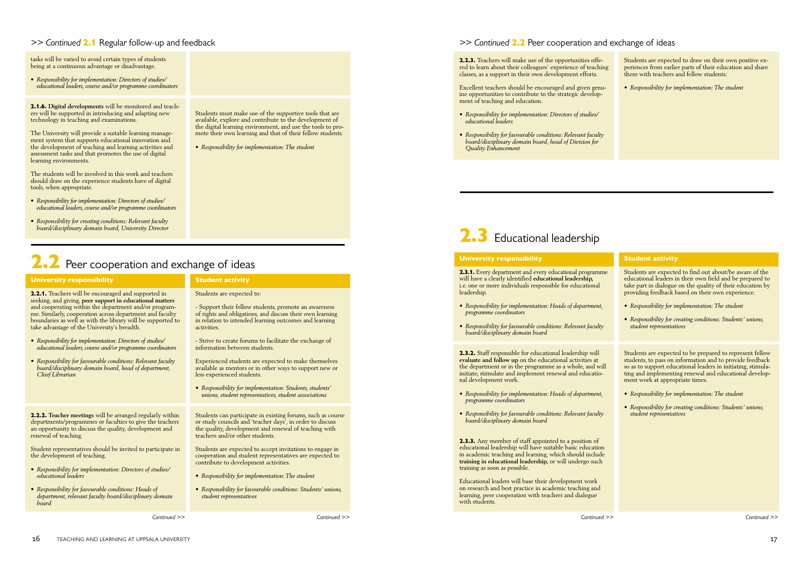## *>> Continued* 2.1 Regular follow-up and feedback

tasks will be varied to avoid certain types of students being at a continuous advantage or disadvantage.

*• Responsibility for implementation: Directors of studies/ educational leaders, course and/or programme coordinators*

2.1.6. **Digital developments** will be monitored and teachers will be supported in introducing and adapting new technology in teaching and examinations.

The University will provide a suitable learning management system that supports educational innovation and the development of teaching and learning activities and assessment tasks and that promotes the use of digital learning environments.

The students will be involved in this work and teachers should draw on the experience students have of digital tools, when appropriate.

- *• Responsibility for implementation: Directors of studies/ educational leaders, course and/or programme coordinators*
- *• Responsibility for creating conditions: Relevant faculty board/disciplinary domain board, University Director*

# $2.2$  Peer cooperation and exchange of ideas

#### *>> Continued* 2.2 Peer cooperation and exchange of ideas

Students must make use of the supportive tools that are available, explore and contribute to the development of the digital learning environment, and use the tools to promote their own learning and that of their fellow students.

*• Responsibility for implementation: The student*

2.2.3. Teachers will make use of the opportunities offered to learn about their colleagues' experience of teaching classes, as a support in their own development efforts.

Excellent teachers should be encouraged and given genuine opportunities to contribute to the strategic development of teaching and education.

- *• Responsibility for implementation: Directors of studies/ educational leaders*
- *• Responsibility for favourable conditions: Relevant faculty board/disciplinary domain board, head of Division for Quality Enhancement*

# 2.3 Educational leadership

Students are expected to draw on their own positive experiences from earlier parts of their education and share them with teachers and fellow students.

*• Responsibility for implementation: The student*

*Continued >> Continued >>*

#### Student activity

Students are expected to find out about/be aware of the educational leaders in their own field and be prepared to take part in dialogue on the quality of their education by providing feedback based on their own experience.

- *• Responsibility for implementation: The student*
- *• Responsibility for creating conditions: Students' unions, student representatives*

Students are expected to be prepared to represent fellow students, to pass on information and to provide feedback so as to support educational leaders in initiating, stimulating and implementing renewal and educational development work at appropriate times.

- *• Responsibility for implementation: The student*
- *• Responsibility for creating conditions: Students' unions, student representatives*

#### University responsibility

2.3.1. Every department and every educational programme will have a clearly identified **educational leadership,**  i.e. one or more individuals responsible for educational leadership.

- *• Responsibility for implementation: Heads of department, programme coordinators*
- *• Responsibility for favourable conditions: Relevant faculty board/disciplinary domain board*

2.3.2. Staff responsible for educational leadership will **evaluate and follow up** on the educational activities at the department or in the programme as a whole, and will initiate, stimulate and implement renewal and educational development work.

- *• Responsibility for implementation: Heads of department, programme coordinators*
- *• Responsibility for favourable conditions: Relevant faculty board/disciplinary domain board*

2.3.3. Any member of staff appointed to a position of educational leadership will have suitable basic education in academic teaching and learning, which should include **training in educational leadership,** or will undergo such training as soon as possible.

Educational leaders will base their development work on research and best practice in academic teaching and learning, peer cooperation with teachers and dialogue with students.

*Continued >> Continued >>*

#### Students are expected to:

- Support their fellow students, promote an awareness of rights and obligations, and discuss their own learning in relation to intended learning outcomes and learning activities.

- Strive to create forums to facilitate the exchange of information between students.

Experienced students are expected to make themselves available as mentors or in other ways to support new or less experienced students.

*• Responsibility for implementation: Students, students' unions, student representatives, student associations*

Students can participate in existing forums, such as course or study councils and 'teacher days', in order to discuss the quality, development and renewal of teaching with teachers and/or other students.

Students are expected to accept invitations to engage in cooperation and student representatives are expected to contribute to development activities.

- *• Responsibility for implementation: The student*
- *student representatives*

- 
- *• Responsibility for favourable conditions: Students' unions,*

#### University responsibility

2.2.1. Teachers will be encouraged and supported in seeking, and giving, **peer support in educational matters** and cooperating within the department and/or programme. Similarly, cooperation across department and faculty boundaries as well as with the library will be supported to take advantage of the University's breadth.

- *• Responsibility for implementation: Directors of studies/ educational leaders, course and/or programme coordinators*
- *• Responsibility for favourable conditions: Relevant faculty board/disciplinary domain board, head of department, Chief Librarian*

2.2.2. **Teacher meetings** will be arranged regularly within departments/programmes or faculties to give the teachers an opportunity to discuss the quality, development and

renewal of teaching.

Student representatives should be invited to participate in

the development of teaching.

*• Responsibility for implementation: Directors of studies/*

*educational leaders*

*• Responsibility for favourable conditions: Heads of department, relevant faculty board/disciplinary domain*  **Student activity** 

*board*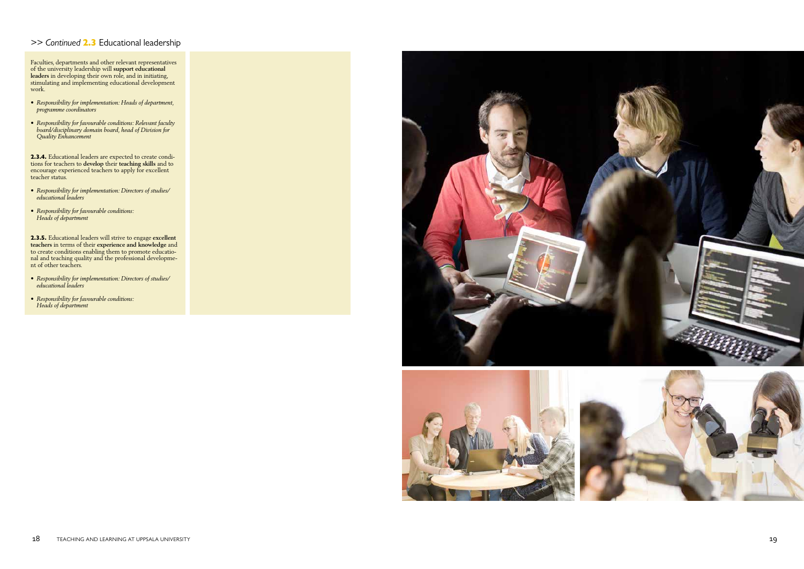## *>> Continued* 2.3 Educational leadership

Faculties, departments and other relevant representatives of the university leadership will **support educational leaders** in developing their own role, and in initiating, stimulating and implementing educational development work.

- *• Responsibility for implementation: Heads of department, programme coordinators*
- *• Responsibility for favourable conditions: Relevant faculty board/disciplinary domain board, head of Division for Quality Enhancement*

**2.3.4.** Educational leaders are expected to create conditions for teachers to **develop** their **teaching skills** and to encourage experienced teachers to apply for excellent teacher status.

- *• Responsibility for implementation: Directors of studies/ educational leaders*
- *• Responsibility for favourable conditions: Heads of department*

2.3.5. Educational leaders will strive to engage **excellent teachers** in terms of their **experience and knowledge** and to create conditions enabling them to promote educatio nal and teaching quality and the professional developme nt of other teachers.

- *• Responsibility for implementation: Directors of studies/ educational leaders*
- *• Responsibility for favourable conditions: Heads of department*



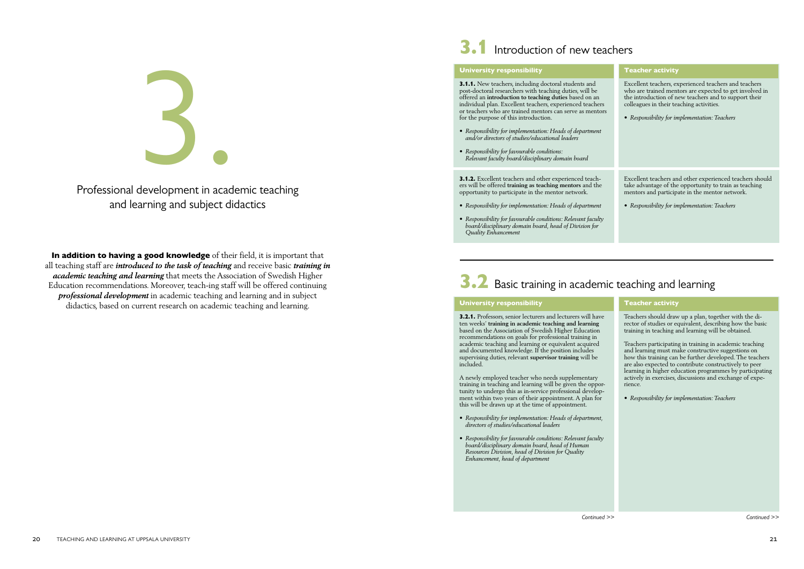In addition to having a good knowledge of their field, it is important that all teaching staff are *introduced to the task of teaching* and receive basic *training in academic teaching and learning* that meets the Association of Swedish Higher Education recommendations. Moreover, teach-ing staff will be offered continuing *professional development* in academic teaching and learning and in subject didactics, based on current research on academic teaching and learning.



Professional development in academic teaching and learning and subject didactics



# 3.1 Introduction of new teachers

#### University responsibility

3.1.1. New teachers, including doctoral students and post-doctoral researchers with teaching duties, will be offered an **introduction to teaching duties** based on an individual plan. Excellent teachers, experienced teachers or teachers who are trained mentors can serve as mentors for the purpose of this introduction.

- *• Responsibility for implementation: Heads of department and/or directors of studies/educational leaders*
- *• Responsibility for favourable conditions: Relevant faculty board/disciplinary domain board*

3.1.2. Excellent teachers and other experienced teachers will be offered **training as teaching mentors** and the opportunity to participate in the mentor network.

- *• Responsibility for implementation: Heads of department*
- *• Responsibility for favourable conditions: Relevant faculty board/disciplinary domain board, head of Division for Quality Enhancement*

#### Teacher activity

Teachers should draw up a plan, together with the director of studies or equivalent, describing how the basic training in teaching and learning will be obtained.

Teachers participating in training in academic teaching and learning must make constructive suggestions on how this training can be further developed. The teachers are also expected to contribute constructively to peer learning in higher education programmes by participating actively in exercises, discussions and exchange of experience.

*• Responsibility for implementation: Teachers*

# 3.2 Basic training in academic teaching and learning

#### University responsibility

3.2.1. Professors, senior lecturers and lecturers will have ten weeks' **training in academic teaching and learning**  based on the Association of Swedish Higher Education recommendations on goals for professional training in academic teaching and learning or equivalent acquired and documented knowledge. If the position includes supervising duties, relevant **supervisor training** will be included.

A newly employed teacher who needs supplementary training in teaching and learning will be given the opportunity to undergo this as in-service professional development within two years of their appointment. A plan for this will be drawn up at the time of appointment.

- *• Responsibility for implementation: Heads of department, directors of studies/educational leaders*
- *• Responsibility for favourable conditions: Relevant faculty board/disciplinary domain board, head of Human Resources Division, head of Division for Quality Enhancement, head of department*

*Continued >> Continued >>*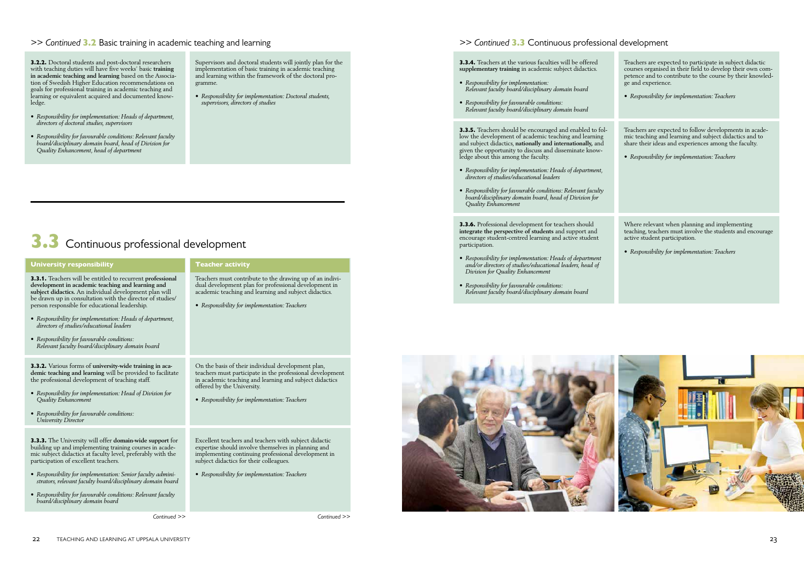# 3.3 Continuous professional development

*Continued >> Continued >>*

## *>> Continued* 3.3 Continuous professional development

3.3.4. Teachers at the various faculties will be offered **supplementary training** in academic subject didactics.

- *• Responsibility for implementation: Relevant faculty board/disciplinary domain board*
- *• Responsibility for favourable conditions: Relevant faculty board/disciplinary domain board*

3.3.5. Teachers should be encouraged and enabled to follow the development of academic teaching and learning and subject didactics, **nationally and internationally,** and given the opportunity to discuss and disseminate knowledge about this among the faculty.

- *• Responsibility for implementation: Heads of department, directors of studies/educational leaders*
- *• Responsibility for favourable conditions: Relevant faculty board/disciplinary domain board, head of Division for Quality Enhancement*

3.3.6. Professional development for teachers should **integrate the perspective of students** and support and encourage student-centred learning and active student participation.

- *• Responsibility for implementation: Heads of department and/or directors of studies/educational leaders, head of Division for Quality Enhancement*
- *• Responsibility for favourable conditions: Relevant faculty board/disciplinary domain board*





## *>> Continued* 3.2 Basic training in academic teaching and learning

3.2.2. Doctoral students and post-doctoral researchers with teaching duties will have five weeks' basic **training in academic teaching and learning** based on the Association of Swedish Higher Education recommendations on goals for professional training in academic teaching and learning or equivalent acquired and documented knowledge.

- *• Responsibility for implementation: Heads of department, directors of doctoral studies, supervisors*
- *• Responsibility for favourable conditions: Relevant faculty board/disciplinary domain board, head of Division for Quality Enhancement, head of department*

Supervisors and doctoral students will jointly plan for the implementation of basic training in academic teaching and learning within the framework of the doctoral programme.

*• Responsibility for implementation: Doctoral students, supervisors, directors of studies*

Teacher activity

Teachers must contribute to the drawing up of an individual development plan for professional development in academic teaching and learning and subject didactics.

*• Responsibility for implementation: Teachers*

On the basis of their individual development plan, teachers must participate in the professional development in academic teaching and learning and subject didactics offered by the University.

*• Responsibility for implementation: Teachers*

Excellent teachers and teachers with subject didactic expertise should involve themselves in planning and implementing continuing professional development in subject didactics for their colleagues.

*• Responsibility for implementation: Teachers* 

#### University responsibility

3.3.1. Teachers will be entitled to recurrent **professional development in academic teaching and learning and subject didactics.** An individual development plan will be drawn up in consultation with the director of studies/ person responsible for educational leadership.

- *• Responsibility for implementation: Heads of department, directors of studies/educational leaders*
- *• Responsibility for favourable conditions: Relevant faculty board/disciplinary domain board*

3.3.2. Various forms of **university-wide training in academic teaching and learning** will be provided to facilitate the professional development of teaching staff.

- *• Responsibility for implementation: Head of Division for Quality Enhancement*
- *• Responsibility for favourable conditions: University Director*

3.3.3. The University will offer **domain-wide support** for building up and implementing training courses in academic subject didactics at faculty level, preferably with the participation of excellent teachers.

- *• Responsibility for implementation: Senior faculty administrators, relevant faculty board/disciplinary domain board*
- *• Responsibility for favourable conditions: Relevant faculty board/disciplinary domain board*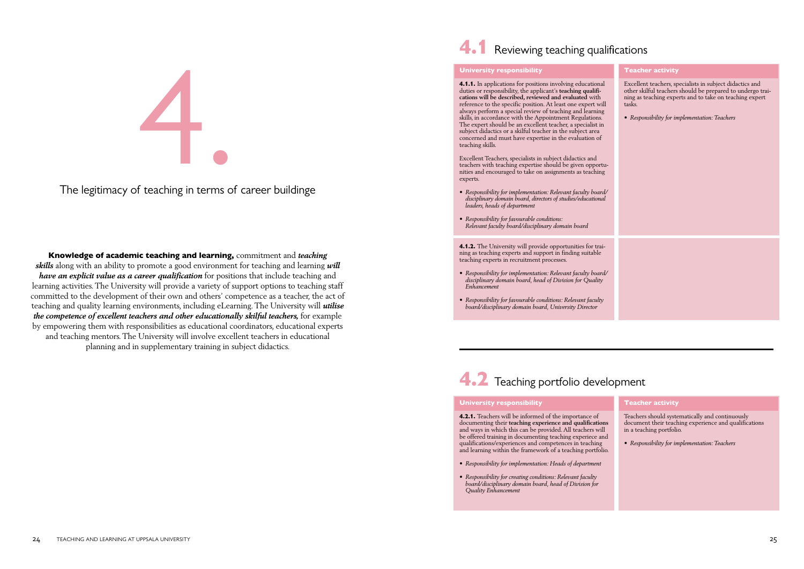Knowledge of academic teaching and learning, commitment and *teaching skills* along with an ability to promote a good environment for teaching and learning *will have an explicit value as a career qualification* for positions that include teaching and learning activities. The University will provide a variety of support options to teaching staff committed to the development of their own and others' competence as a teacher, the act of teaching and quality learning environments, including eLearning. The University will *utilise the competence of excellent teachers and other educationally skilful teachers, for example* by empowering them with responsibilities as educational coordinators, educational experts and teaching mentors. The University will involve excellent teachers in educational planning and in supplementary training in subject didactics.

# 4.1 Reviewing teaching qualifications

# 4.

The legitimacy of teaching in terms of career buildinge



## Teacher activity

Teachers should systematically and continuously document their teaching experience and qualifications in a teaching portfolio.

*• Responsibility for implementation: Teachers*

#### University responsibility

4.2.1. Teachers will be informed of the importance of documenting their **teaching experience and qualifications** and ways in which this can be provided. All teachers will be offered training in documenting teaching experiece and qualifications/experiences and competences in teaching and learning within the framework of a teaching portfolio.

- *• Responsibility for implementation: Heads of department*
- *• Responsibility for creating conditions: Relevant faculty board/disciplinary domain board, head of Division for Quality Enhancement*

#### University responsibility

4.1.1. In applications for positions involving educational duties or responsibility, the applicant's **teaching qualifications will be described, reviewed and evaluated** with reference to the specific position. At least one expert will always perform a special review of teaching and learning skills, in accordance with the Appointment Regulations. The expert should be an excellent teacher, a specialist in subject didactics or a skilful teacher in the subject area concerned and must have expertise in the evaluation of teaching skills.

Excellent Teachers, specialists in subject didactics and teachers with teaching expertise should be given opportunities and encouraged to take on assignments as teaching experts.

- *• Responsibility for implementation: Relevant faculty board/ disciplinary domain board, directors of studies/educational leaders, heads of department*
- *• Responsibility for favourable conditions: Relevant faculty board/disciplinary domain board*

4.1.2. The University will provide opportunities for training as teaching experts and support in finding suitable teaching experts in recruitment processes.

- *• Responsibility for implementation: Relevant faculty board/ disciplinary domain board, head of Division for Quality Enhancement*
- *• Responsibility for favourable conditions: Relevant faculty board/disciplinary domain board, University Director*

# 4.2 Teaching portfolio development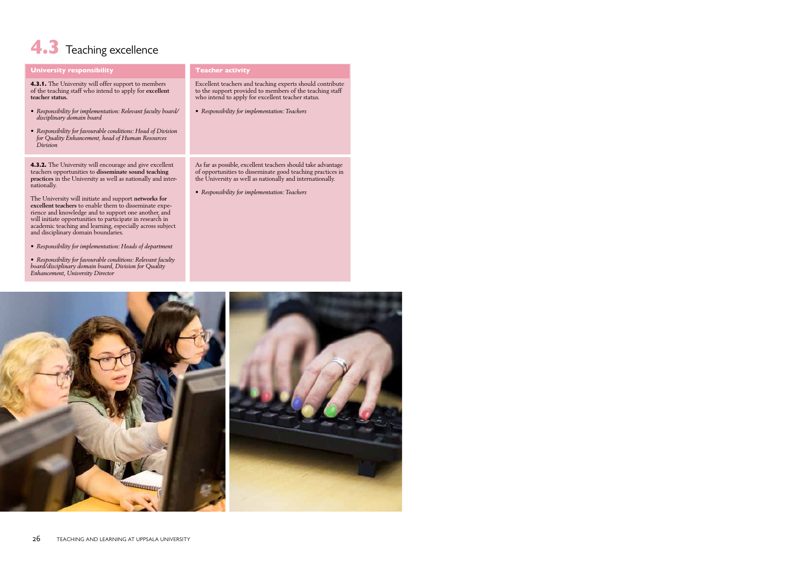# 4.3 Teaching excellence

| <b>University responsibility</b>                                                                                                                                                                                                                                                                                                                                                                                                                                                                                                                                                                                                                                                                                                                                           | <b>Teacher activity</b>                                                                                                                                                                                                                  |
|----------------------------------------------------------------------------------------------------------------------------------------------------------------------------------------------------------------------------------------------------------------------------------------------------------------------------------------------------------------------------------------------------------------------------------------------------------------------------------------------------------------------------------------------------------------------------------------------------------------------------------------------------------------------------------------------------------------------------------------------------------------------------|------------------------------------------------------------------------------------------------------------------------------------------------------------------------------------------------------------------------------------------|
| 4.3.1. The University will offer support to members<br>of the teaching staff who intend to apply for excellent<br>teacher status.<br>• Responsibility for implementation: Relevant faculty board/<br>disciplinary domain board<br>• Responsibility for favourable conditions: Head of Division<br>for Quality Enhancement, head of Human Resources<br>Division                                                                                                                                                                                                                                                                                                                                                                                                             | Excellent teachers and teaching experts should contribute<br>to the support provided to members of the teaching staff<br>who intend to apply for excellent teacher status.<br>• Responsibility for implementation: Teachers              |
| <b>4.3.2.</b> The University will encourage and give excellent<br>teachers opportunities to disseminate sound teaching<br>practices in the University as well as nationally and inter-<br>nationally.<br>The University will initiate and support networks for<br>excellent teachers to enable them to disseminate expe-<br>rience and knowledge and to support one another, and<br>will initiate opportunities to participate in research in<br>academic teaching and learning, especially across subject<br>and disciplinary domain boundaries.<br>• Responsibility for implementation: Heads of department<br>• Responsibility for favourable conditions: Relevant faculty<br>board/disciplinary domain board, Division for Quality<br>Enhancement, University Director | As far as possible, excellent teachers should take advantage<br>of opportunities to disseminate good teaching practices in<br>the University as well as nationally and internationally.<br>• Responsibility for implementation: Teachers |